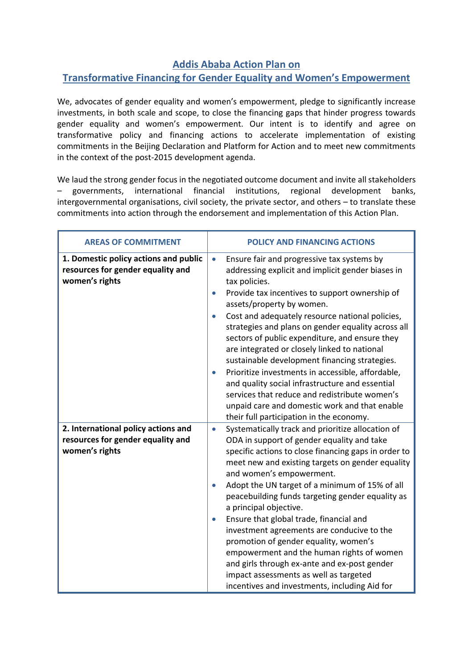## **Addis Ababa Action Plan on**

## **Transformative Financing for Gender Equality and Women's Empowerment**

We, advocates of gender equality and women's empowerment, pledge to significantly increase investments, in both scale and scope, to close the financing gaps that hinder progress towards gender equality and women's empowerment. Our intent is to identify and agree on transformative policy and financing actions to accelerate implementation of existing commitments in the Beijing Declaration and Platform for Action and to meet new commitments in the context of the post-2015 development agenda.

We laud the strong gender focus in the negotiated outcome document and invite all stakeholders – governments, international financial institutions, regional development banks, intergovernmental organisations, civil society, the private sector, and others – to translate these commitments into action through the endorsement and implementation of this Action Plan.

| <b>AREAS OF COMMITMENT</b>                                                                   | <b>POLICY AND FINANCING ACTIONS</b>                                                                                                                                                                                                                                                                                                                                                                                                                                                                                                                                                                                                                                                                                                                                   |
|----------------------------------------------------------------------------------------------|-----------------------------------------------------------------------------------------------------------------------------------------------------------------------------------------------------------------------------------------------------------------------------------------------------------------------------------------------------------------------------------------------------------------------------------------------------------------------------------------------------------------------------------------------------------------------------------------------------------------------------------------------------------------------------------------------------------------------------------------------------------------------|
| 1. Domestic policy actions and public<br>resources for gender equality and<br>women's rights | Ensure fair and progressive tax systems by<br>$\bullet$<br>addressing explicit and implicit gender biases in<br>tax policies.<br>Provide tax incentives to support ownership of<br>$\bullet$<br>assets/property by women.<br>Cost and adequately resource national policies,<br>$\bullet$<br>strategies and plans on gender equality across all<br>sectors of public expenditure, and ensure they<br>are integrated or closely linked to national<br>sustainable development financing strategies.<br>Prioritize investments in accessible, affordable,<br>$\bullet$<br>and quality social infrastructure and essential<br>services that reduce and redistribute women's<br>unpaid care and domestic work and that enable<br>their full participation in the economy. |
| 2. International policy actions and<br>resources for gender equality and<br>women's rights   | Systematically track and prioritize allocation of<br>$\bullet$<br>ODA in support of gender equality and take<br>specific actions to close financing gaps in order to<br>meet new and existing targets on gender equality<br>and women's empowerment.<br>Adopt the UN target of a minimum of 15% of all<br>$\bullet$<br>peacebuilding funds targeting gender equality as<br>a principal objective.<br>Ensure that global trade, financial and<br>$\bullet$<br>investment agreements are conducive to the<br>promotion of gender equality, women's<br>empowerment and the human rights of women<br>and girls through ex-ante and ex-post gender<br>impact assessments as well as targeted<br>incentives and investments, including Aid for                              |